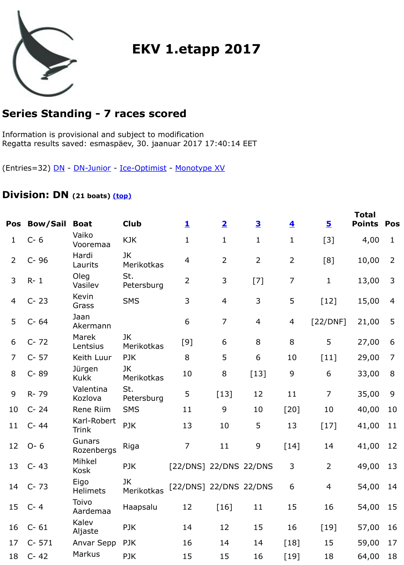Regatta results saved: esmaspäev, 30. jaanuar 2017 17:40:14 EET

(Entries=32) DN - DN-Junior - Ice-Optimist - Monotype XV

## **Division: DN (21 boats) (top)**

| Pos            | <b>Bow/Sail</b> | <b>Boat</b>                 | <b>Club</b>             | $\mathbf{1}$           | $\overline{\mathbf{2}}$ | $\overline{\mathbf{3}}$ | $\overline{\mathbf{4}}$ |              |
|----------------|-----------------|-----------------------------|-------------------------|------------------------|-------------------------|-------------------------|-------------------------|--------------|
| 1              | $C - 6$         | Vaiko<br>Vooremaa           | <b>KJK</b>              | $\mathbf{1}$           | $\mathbf{1}$            | $\mathbf{1}$            | $\mathbf{1}$            |              |
| 2              | $C-96$          | Hardi<br>Laurits            | JK<br><b>Merikotkas</b> | 4                      | $\overline{2}$          | $\overline{2}$          | $\overline{2}$          | [8           |
| 3              | $R - 1$         | Oleg<br>Vasilev             | St.<br>Petersburg       | $\overline{2}$         | 3                       | $[7]$                   | $\overline{7}$          |              |
| 4              | $C - 23$        | Kevin<br>Grass              | <b>SMS</b>              | 3                      | $\overline{4}$          | 3                       | 5                       | [1]          |
| 5              | $C - 64$        | Jaan<br>Akermann            |                         | 6                      | $\overline{7}$          | $\overline{4}$          | $\overline{4}$          | $[22/$       |
| 6              | $C - 72$        | Marek<br>Lentsius           | JK.<br>Merikotkas       | [9]                    | 6                       | 8                       | 8                       |              |
| $\overline{7}$ | $C - 57$        | Keith Luur                  | <b>PJK</b>              | 8                      | 5                       | 6                       | 10                      | [1]          |
| 8              | C-89            | Jürgen<br><b>Kukk</b>       | JK<br>Merikotkas        | 10                     | $8\,$                   | $[13]$                  | 9                       |              |
| 9              | R-79            | Valentina<br>Kozlova        | St.<br>Petersburg       | 5                      | $[13]$                  | 12                      | 11                      |              |
| 10             | $C - 24$        | Rene Riim                   | <b>SMS</b>              | 11                     | 9                       | 10                      | $[20]$                  | $\mathbf{1}$ |
| 11             | $C - 44$        | Karl-Robert<br><b>Trink</b> | <b>PJK</b>              | 13                     | 10                      | 5                       | 13                      | [1]          |
| 12             | $O - 6$         | <b>Gunars</b><br>Rozenbergs | Riga                    | $\overline{7}$         | 11                      | $\mathsf 9$             | $[14]$                  | $1\vert$     |
|                | 13 C-43         | Mihkel<br>Kosk              | <b>PJK</b>              | [22/DNS] 22/DNS 22/DNS |                         |                         | 3                       |              |
| 14             | $C - 73$        | Eigo<br><b>Helimets</b>     | JK<br>Merikotkas        | [22/DNS] 22/DNS 22/DNS |                         |                         | 6                       |              |
|                | 15 C-4          | Toivo<br>Aardemaa           | Haapsalu                | 12                     | $[16]$                  | 11                      | 15                      | $\mathbf{1}$ |
| 16             | $C - 61$        | Kalev<br>Aljaste            | <b>PJK</b>              | 14                     | 12                      | 15                      | 16                      | [1]          |
| 17             | $C - 571$       | Anvar Sepp                  | PJK                     | 16                     | 14                      | 14                      | $[18]$                  | $\mathbf{1}$ |
| 18             | $C - 42$        | <b>Markus</b>               | PJK                     | 15                     | 15                      | 16                      | $[19]$                  |              |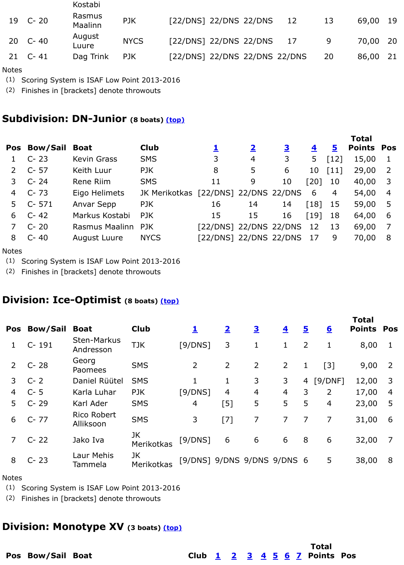|   | Pos Bow/Sail | <b>Boat</b>         | <b>Club</b>                          |                           | $\overline{\mathbf{2}}$ | <u>3</u> | $\overline{\mathbf{4}}$ |
|---|--------------|---------------------|--------------------------------------|---------------------------|-------------------------|----------|-------------------------|
|   | $C - 23$     | <b>Kevin Grass</b>  | <b>SMS</b>                           | 3                         | $\overline{4}$          | 3        | 5                       |
|   | 2 C-57       | Keith Luur          | PJK                                  | 8                         | 5                       | 6        | 10                      |
|   | $C - 24$     | Rene Riim           | <b>SMS</b>                           | 11                        | 9                       | 10       | [20]                    |
| 4 | $C - 73$     | Eigo Helimets       | JK Merikotkas [22/DNS] 22/DNS 22/DNS |                           |                         |          | 6                       |
|   | 5 C-571      | Anvar Sepp          | PJK                                  | 16                        | 14                      | 14       | $\lceil 18 \rceil$      |
| 6 | $C - 42$     | Markus Kostabi      | PJK                                  | 15                        | 15                      | 16       | $\lceil 19 \rceil$      |
|   | $C - 20$     | Rasmus Maalinn PJK  |                                      | [22/DNS] 22/DNS 22/DNS    |                         |          | 12                      |
| 8 | $C - 40$     | <b>August Luure</b> | <b>NYCS</b>                          | [22/DNS] 22/DNS 22/DNS 17 |                         |          |                         |
|   |              |                     |                                      |                           |                         |          |                         |

**Notes** 

(1) Scoring System is ISAF Low Point 2013-[2016](file:///Volumes/TORMI/JavaScore/Desktop/reports/EKV1etapp2017/EKV1etapp2017.html#top)

(2) Finishes in [brackets] denote throwouts

## **Division: Ice-Optimist (8 boats) (top)**

| Pos            | <b>Bow/Sail</b> | <b>Boat</b>                     | <b>Club</b>             | <u>1</u>                    | $\overline{\mathbf{2}}$ | $\overline{\mathbf{3}}$ | $\overline{\mathbf{4}}$ | <u>5</u>       |        |
|----------------|-----------------|---------------------------------|-------------------------|-----------------------------|-------------------------|-------------------------|-------------------------|----------------|--------|
|                | C-191           | <b>Sten-Markus</b><br>Andresson | <b>TJK</b>              | [9/DNS]                     | 3                       | 1                       | 1                       | $\overline{2}$ |        |
| 2              | $C - 28$        | Georg<br>Paomees                | <b>SMS</b>              | $\overline{2}$              | $\overline{2}$          | 2                       | $\overline{2}$          | 1              |        |
| 3              | $C - 2$         | Daniel Rüütel                   | <b>SMS</b>              |                             | 1                       | 3                       | 3                       |                | 4 [9/D |
| 4              | $C - 5$         | Karla Luhar                     | PJK                     | [9/DNS]                     | $\overline{4}$          | 4                       | 4                       | 3              |        |
| 5              | $C - 29$        | Karl Ader                       | <b>SMS</b>              | $\overline{4}$              | [5]                     | 5                       | 5                       | 5              |        |
| 6              | $C - 77$        | Rico Robert<br>Alliksoon        | <b>SMS</b>              | 3                           | $[7]$                   | 7                       | $\overline{7}$          | 7              |        |
| $\overline{7}$ | $C - 22$        | Jako Iva                        | JK<br><b>Merikotkas</b> | [9/DNS]                     | 6                       | 6                       | 6                       | 8              |        |
| 8              | $C - 23$        | <b>Laur Mehis</b><br>Tammela    | <b>JK</b><br>Merikotkas | [9/DNS] 9/DNS 9/DNS 9/DNS 6 |                         |                         |                         |                |        |

**Total**

**Notes** 

(1) Scoring System is ISAF Low Point 2013-2016

(2) Finishes in [brackets] denote throwouts

## **Division: Monotype XV (3 boats) (top)**

**Pos Bow/Sail Boat Club 1 2 3 4 5 6 7 Points Pos**